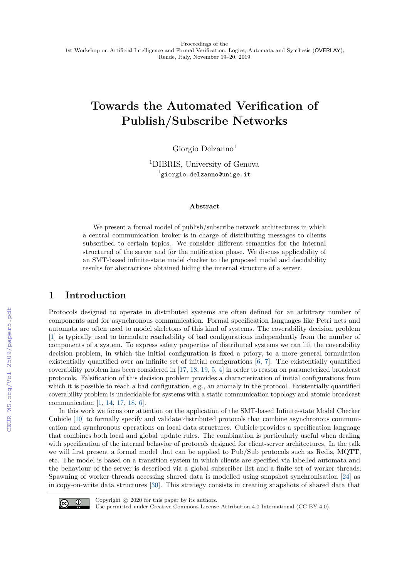# **Towards the Automated Verification of Publish/Subscribe Networks**

Giorgio Delzanno<sup>1</sup>

<sup>1</sup>DIBRIS, University of Genova  $^{\rm 1}$ giorgio.delzanno@unige.it

#### **Abstract**

We present a formal model of publish/subscribe network architectures in which a central communication broker is in charge of distributing messages to clients subscribed to certain topics. We consider different semantics for the internal structured of the server and for the notification phase. We discuss applicability of an SMT-based infinite-state model checker to the proposed model and decidability results for abstractions obtained hiding the internal structure of a server.

# **1 Introduction**

Protocols designed to operate in distributed systems are often defined for an arbitrary number of components and for asynchronous communication. Formal specification languages like Petri nets and automata are often used to model skeletons of this kind of systems. The coverability decision problem [\[1\]](#page--1-0) is typically used to formulate reachability of bad configurations independently from the number of components of a system. To express safety properties of distributed systems we can lift the coverability decision problem, in which the initial configuration is fixed a priory, to a more general formulation existentially quantified over an infinite set of initial configurations [\[6,](#page--1-1) [7\]](#page--1-2). The existentially quantified coverability problem has been considered in [\[17,](#page--1-3) [18,](#page--1-4) [19,](#page--1-5) [5,](#page--1-6) [4\]](#page--1-7) in order to reason on parameterized broadcast protocols. Falsification of this decision problem provides a characterization of initial configurations from which it is possible to reach a bad configuration, e.g., an anomaly in the protocol. Existentially quantified coverability problem is undecidable for systems with a static communication topology and atomic broadcast communication [\[1,](#page--1-0) [14,](#page--1-8) [17,](#page--1-3) [18,](#page--1-4) [6\]](#page--1-1).

In this work we focus our attention on the application of the SMT-based Infinite-state Model Checker Cubicle [\[10\]](#page--1-9) to formally specify and validate distributed protocols that combine asynchronous communication and synchronous operations on local data structures. Cubicle provides a specification language that combines both local and global update rules. The combination is particularly useful when dealing with specification of the internal behavior of protocols designed for client-server architectures. In the talk we will first present a formal model that can be applied to Pub/Sub protocols such as Redis, MQTT, etc. The model is based on a transition system in which clients are specified via labelled automata and the behaviour of the server is described via a global subscriber list and a finite set of worker threads. Spawning of worker threads accessing shared data is modelled using snapshot synchronisation [\[24\]](#page--1-10) as in copy-on-write data structures [\[30\]](#page--1-11). This strategy consists in creating snapshots of shared data that



Copyright  $\odot$  2020 for this paper by its authors.

Use permitted under Creative Commons License Attribution 4.0 International (CC BY 4.0).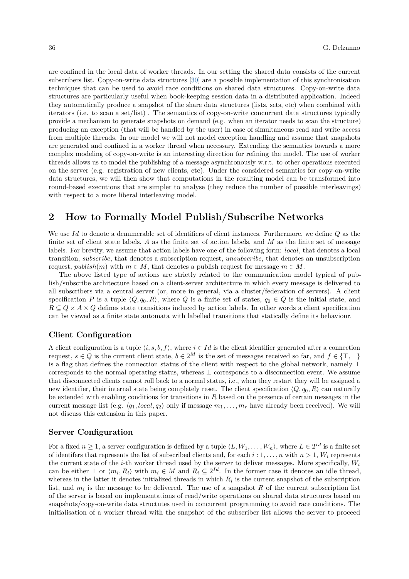are confined in the local data of worker threads. In our setting the shared data consists of the current subscribers list. Copy-on-write data structures [\[30\]](#page-5-0) are a possible implementation of this synchronisation techniques that can be used to avoid race conditions on shared data structures. Copy-on-write data structures are particularly useful when book-keeping session data in a distributed application. Indeed they automatically produce a snapshot of the share data structures (lists, sets, etc) when combined with iterators (i.e. to scan a set/list) . The semantics of copy-on-write concurrent data structures typically provide a mechanism to generate snapshots on demand (e.g. when an iterator needs to scan the structure) producing an exception (that will be handled by the user) in case of simultaneous read and write access from multiple threads. In our model we will not model exception handling and assume that snapshots are generated and confined in a worker thread when necessary. Extending the semantics towards a more complex modeling of copy-on-write is an interesting direction for refining the model. The use of worker threads allows us to model the publishing of a message asynchronously w.r.t. to other operations executed on the server (e.g. registration of new clients, etc). Under the considered semantics for copy-on-write data structures, we will then show that computations in the resulting model can be transformed into round-based executions that are simpler to analyse (they reduce the number of possible interleavings) with respect to a more liberal interleaving model.

# **2 How to Formally Model Publish/Subscribe Networks**

We use *Id* to denote a denumerable set of identifiers of client instances. Furthermore, we define *Q* as the finite set of client state labels, *A* as the finite set of action labels, and *M* as the finite set of message labels. For brevity, we assume that action labels have one of the following form: *local*, that denotes a local transition, *subscribe*, that denotes a subscription request, *unsubscribe*, that denotes an unsubscription request, *publish*(*m*) with  $m \in M$ , that denotes a publish request for message  $m \in M$ .

The above listed type of actions are strictly related to the communication model typical of publish/subscribe architecture based on a client-server architecture in which every message is delivered to all subscribers via a central server (or, more in general, via a cluster/federation of servers). A client specification *P* is a tuple  $\langle Q, q_0, R \rangle$ , where *Q* is a finite set of states,  $q_0 \in Q$  is the initial state, and  $R \subseteq Q \times A \times Q$  defines state transitions induced by action labels. In other words a client specification can be viewed as a finite state automata with labelled transitions that statically define its behaviour.

### **Client Configuration**

A client configuration is a tuple  $\langle i, s, b, f \rangle$ , where  $i \in Id$  is the client identifier generated after a connection request,  $s \in Q$  is the current client state,  $b \in 2^M$  is the set of messages received so far, and  $f \in \{\top, \bot\}$ is a flag that defines the connection status of the client with respect to the global network, namely  $\top$ corresponds to the normal operating status, whereas ⊥ corresponds to a disconnection event. We assume that disconnected clients cannot roll back to a normal status, i.e., when they restart they will be assigned a new identifier, their internal state being completely reset. The client specification  $\langle Q, q_0, R \rangle$  can naturally be extended with enabling conditions for transitions in *R* based on the presence of certain messages in the current message list (e.g.  $\langle q_1, local, q_2 \rangle$  only if message  $m_1, \ldots, m_r$  have already been received). We will not discuss this extension in this paper.

#### **Server Configuration**

For a fixed  $n \geq 1$ , a server configuration is defined by a tuple  $\langle L, W_1, \ldots, W_n \rangle$ , where  $L \in 2^{Id}$  is a finite set of identifers that represents the list of subscribed clients and, for each  $i:1,\ldots,n$  with  $n>1$ ,  $W_i$  represents the current state of the *i*-th worker thread used by the server to deliver messages. More specifically, *W<sup>i</sup>* can be either  $\perp$  or  $\langle m_i, R_i \rangle$  with  $m_i \in M$  and  $R_i \subseteq 2^{Id}$ . In the former case it denotes an idle thread, whereas in the latter it denotes initialized threads in which  $R_i$  is the current snapshot of the subscription list, and  $m_i$  is the message to be delivered. The use of a snapshot  $R$  of the current subscription list of the server is based on implementations of read/write operations on shared data structures based on snapshots/copy-on-write data structutes used in concurrent programming to avoid race conditions. The initialisation of a worker thread with the snapshot of the subscriber list allows the server to proceed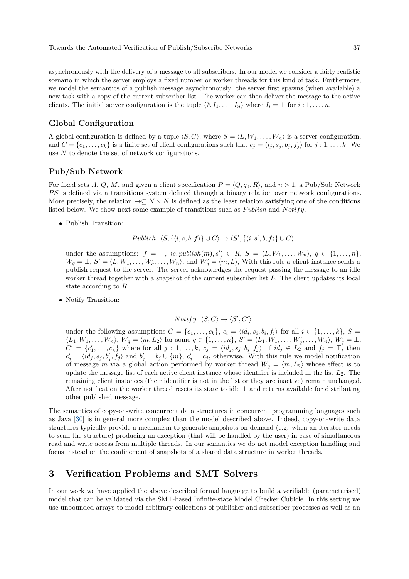Towards the Automated Verification of Publish/Subscribe Networks 37

asynchronously with the delivery of a message to all subscribers. In our model we consider a fairly realistic scenario in which the server employs a fixed number or worker threads for this kind of task. Furthermore, we model the semantics of a publish message asynchronously: the server first spawns (when available) a new task with a copy of the current subscriber list. The worker can then deliver the message to the active clients. The initial server configuration is the tuple  $\langle \emptyset, I_1, \ldots, I_n \rangle$  where  $I_i = \bot$  for  $i: 1, \ldots, n$ .

## **Global Configuration**

A global configuration is defined by a tuple  $\langle S, C \rangle$ , where  $S = \langle L, W_1, \ldots, W_n \rangle$  is a server configuration, and  $C = \{c_1, \ldots, c_k\}$  is a finite set of client configurations such that  $c_j = \langle i_j, s_j, b_j, f_j \rangle$  for  $j : 1, \ldots, k$ . We use *N* to denote the set of network configurations.

#### **Pub/Sub Network**

For fixed sets A, Q, M, and given a client specification  $P = \langle Q, q_0, R \rangle$ , and  $n > 1$ , a Pub/Sub Network *P S* is defined via a transitions system defined through a binary relation over network configurations. More precisely, the relation  $\rightarrow \subseteq N \times N$  is defined as the least relation satisfying one of the conditions listed below. We show next some example of transitions such as *P ublish* and *Notify*.

• Publish Transition:

$$
Published \langle S, \{ \langle i, s, b, f \rangle \} \cup C \rangle \rightarrow \langle S', \{ \langle i, s', b, f \rangle \} \cup C \rangle
$$

under the assumptions:  $f = \top$ ,  $\langle s, \text{public} \times \text{In}(m), s' \rangle \in R$ ,  $S = \langle L, W_1, \dots, W_n \rangle$ ,  $q \in \{1, \dots, n\}$ ,  $W_q = \perp, S' = \langle L, W_1, \ldots, W'_q, \ldots, W_n \rangle$ , and  $W'_q = \langle m, L \rangle$ , With this rule a client instance sends a publish request to the server. The server acknowledges the request passing the message to an idle worker thread together with a snapshot of the current subscriber list *L*. The client updates its local state according to *R*.

• Notify Transition:

$$
Notify \ \langle S, C \rangle \rightarrow \langle S', C' \rangle
$$

under the following assumptions  $C = \{c_1, \ldots, c_k\}$ ,  $c_i = \langle id_i, s_i, b_i, f_i \rangle$  for all  $i \in \{1, \ldots, k\}$ ,  $S =$  $\langle L_1, W_1, \ldots, W_n \rangle$ ,  $W_q = \langle m, L_2 \rangle$  for some  $q \in \{1, \ldots, n\}$ ,  $S' = \langle L_1, W_1, \ldots, W'_q, \ldots, W_n \rangle$ ,  $W'_q = \perp$ ,  $C' = \{c'_1, \ldots, c'_k\}$  where for all  $j: 1, \ldots, k$ ,  $c_j = \langle id_j, s_j, b_j, f_j \rangle$ , if  $id_j \in L_2$  and  $f_j = \top$ , then  $c'_j = \langle id_j, s_j, b'_j, f_j \rangle$  and  $b'_j = b_j \cup \{m\}, c'_j = c_j$ , otherwise. With this rule we model notification of message *m* via a global action performed by worker thread  $W_q = \langle m, L_2 \rangle$  whose effect is to update the message list of each active client instance whose identifier is included in the list *L*2. The remaining client instances (their identifier is not in the list or they are inactive) remain unchanged. After notification the worker thread resets its state to idle  $\perp$  and returns available for distributing other published message.

The semantics of copy-on-write concurrent data structures in concurrent programming languages such as Java [\[30\]](#page-5-0) is in general more complex than the model described above. Indeed, copy-on-write data structures typically provide a mechanism to generate snapshots on demand (e.g. when an iterator needs to scan the structure) producing an exception (that will be handled by the user) in case of simultaneous read and write access from multiple threads. In our semantics we do not model exception handling and focus instead on the confinement of snapshots of a shared data structure in worker threads.

# **3 Verification Problems and SMT Solvers**

In our work we have applied the above described formal language to build a verifiable (parameterised) model that can be validated via the SMT-based Infinite-state Model Checker Cubicle. In this setting we use unbounded arrays to model arbitrary collections of publisher and subscriber processes as well as an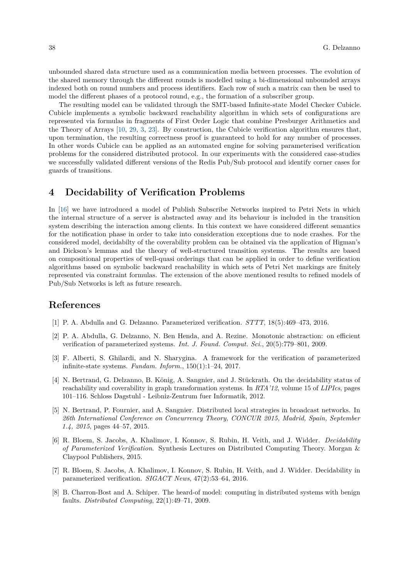unbounded shared data structure used as a communication media between processes. The evolution of the shared memory through the different rounds is modelled using a bi-dimensional unbounded arrays indexed both on round numbers and process identifiers. Each row of such a matrix can then be used to model the different phases of a protocol round, e.g., the formation of a subscriber group.

The resulting model can be validated through the SMT-based Infinite-state Model Checker Cubicle. Cubicle implements a symbolic backward reachability algorithm in which sets of configurations are represented via formulas in fragments of First Order Logic that combine Presburger Arithmetics and the Theory of Arrays [\[10,](#page-4-0) [29,](#page-5-1) [3,](#page-3-0) [23\]](#page-4-1). By construction, the Cubicle verification algorithm ensures that, upon termination, the resulting correctness proof is guaranteed to hold for any number of processes. In other words Cubicle can be applied as an automated engine for solving parameterised verification problems for the considered distributed protocol. In our experiments with the considered case-studies we successfully validated different versions of the Redis Pub/Sub protocol and identify corner cases for guards of transitions.

# **4 Decidability of Verification Problems**

In [\[16\]](#page-4-2) we have introduced a model of Publish Subscribe Networks inspired to Petri Nets in which the internal structure of a server is abstracted away and its behaviour is included in the transition system describing the interaction among clients. In this context we have considered different semantics for the notification phase in order to take into consideration exceptions due to node crashes. For the considered model, decidabilty of the coverability problem can be obtained via the application of Higman's and Dickson's lemmas and the theory of well-structured transition systems. The results are based on compositional properties of well-quasi orderings that can be applied in order to define verification algorithms based on symbolic backward reachability in which sets of Petri Net markings are finitely represented via constraint formulas. The extension of the above mentioned results to refined models of Pub/Sub Networks is left as future research.

# **References**

- [1] P. A. Abdulla and G. Delzanno. Parameterized verification. *STTT*, 18(5):469–473, 2016.
- [2] P. A. Abdulla, G. Delzanno, N. Ben Henda, and A. Rezine. Monotonic abstraction: on efficient verification of parameterized systems. *Int. J. Found. Comput. Sci.*, 20(5):779–801, 2009.
- <span id="page-3-0"></span>[3] F. Alberti, S. Ghilardi, and N. Sharygina. A framework for the verification of parameterized infinite-state systems. *Fundam. Inform.*, 150(1):1–24, 2017.
- [4] N. Bertrand, G. Delzanno, B. König, A. Sangnier, and J. Stückrath. On the decidability status of reachability and coverability in graph transformation systems. In *RTA'12*, volume 15 of *LIPIcs*, pages 101–116. Schloss Dagstuhl - Leibniz-Zentrum fuer Informatik, 2012.
- [5] N. Bertrand, P. Fournier, and A. Sangnier. Distributed local strategies in broadcast networks. In *26th International Conference on Concurrency Theory, CONCUR 2015, Madrid, Spain, September 1.4, 2015*, pages 44–57, 2015.
- [6] R. Bloem, S. Jacobs, A. Khalimov, I. Konnov, S. Rubin, H. Veith, and J. Widder. *Decidability of Parameterized Verification*. Synthesis Lectures on Distributed Computing Theory. Morgan & Claypool Publishers, 2015.
- [7] R. Bloem, S. Jacobs, A. Khalimov, I. Konnov, S. Rubin, H. Veith, and J. Widder. Decidability in parameterized verification. *SIGACT News*, 47(2):53–64, 2016.
- [8] B. Charron-Bost and A. Schiper. The heard-of model: computing in distributed systems with benign faults. *Distributed Computing*, 22(1):49–71, 2009.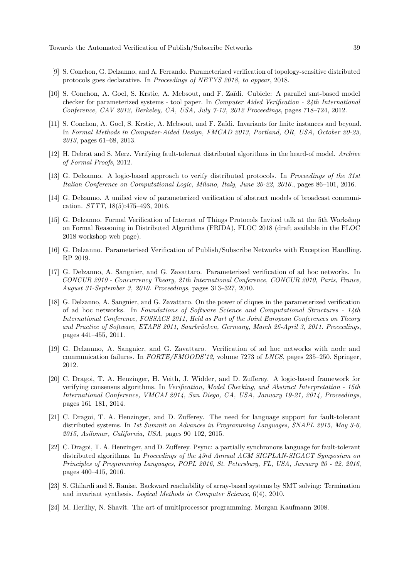- [9] S. Conchon, G. Delzanno, and A. Ferrando. Parameterized verification of topology-sensitive distributed protocols goes declarative. In *Proceedings of NETYS 2018, to appear*, 2018.
- <span id="page-4-0"></span>[10] S. Conchon, A. Goel, S. Krstic, A. Mebsout, and F. Zaïdi. Cubicle: A parallel smt-based model checker for parameterized systems - tool paper. In *Computer Aided Verification - 24th International Conference, CAV 2012, Berkeley, CA, USA, July 7-13, 2012 Proceedings*, pages 718–724, 2012.
- [11] S. Conchon, A. Goel, S. Krstic, A. Mebsout, and F. Zaïdi. Invariants for finite instances and beyond. In *Formal Methods in Computer-Aided Design, FMCAD 2013, Portland, OR, USA, October 20-23, 2013*, pages 61–68, 2013.
- [12] H. Debrat and S. Merz. Verifying fault-tolerant distributed algorithms in the heard-of model. *Archive of Formal Proofs*, 2012.
- [13] G. Delzanno. A logic-based approach to verify distributed protocols. In *Proceedings of the 31st Italian Conference on Computational Logic, Milano, Italy, June 20-22, 2016.*, pages 86–101, 2016.
- [14] G. Delzanno. A unified view of parameterized verification of abstract models of broadcast communication. *STTT*, 18(5):475–493, 2016.
- [15] G. Delzanno. Formal Verification of Internet of Things Protocols Invited talk at the 5th Workshop on Formal Reasoning in Distributed Algorithms (FRIDA), FLOC 2018 (draft available in the FLOC 2018 workshop web page).
- <span id="page-4-2"></span>[16] G. Delzanno. Parameterised Verification of Publish/Subscribe Networks with Exception Handling. RP 2019.
- [17] G. Delzanno, A. Sangnier, and G. Zavattaro. Parameterized verification of ad hoc networks. In *CONCUR 2010 - Concurrency Theory, 21th International Conference, CONCUR 2010, Paris, France, August 31-September 3, 2010. Proceedings*, pages 313–327, 2010.
- [18] G. Delzanno, A. Sangnier, and G. Zavattaro. On the power of cliques in the parameterized verification of ad hoc networks. In *Foundations of Software Science and Computational Structures - 14th International Conference, FOSSACS 2011, Held as Part of the Joint European Conferences on Theory and Practice of Software, ETAPS 2011, Saarbrücken, Germany, March 26-April 3, 2011. Proceedings*, pages 441–455, 2011.
- [19] G. Delzanno, A. Sangnier, and G. Zavattaro. Verification of ad hoc networks with node and communication failures. In *FORTE/FMOODS'12*, volume 7273 of *LNCS*, pages 235–250. Springer, 2012.
- [20] C. Dragoi, T. A. Henzinger, H. Veith, J. Widder, and D. Zufferey. A logic-based framework for verifying consensus algorithms. In *Verification, Model Checking, and Abstract Interpretation - 15th International Conference, VMCAI 2014, San Diego, CA, USA, January 19-21, 2014, Proceedings*, pages 161–181, 2014.
- [21] C. Dragoi, T. A. Henzinger, and D. Zufferey. The need for language support for fault-tolerant distributed systems. In *1st Summit on Advances in Programming Languages, SNAPL 2015, May 3-6, 2015, Asilomar, California, USA*, pages 90–102, 2015.
- [22] C. Dragoi, T. A. Henzinger, and D. Zufferey. Psync: a partially synchronous language for fault-tolerant distributed algorithms. In *Proceedings of the 43rd Annual ACM SIGPLAN-SIGACT Symposium on Principles of Programming Languages, POPL 2016, St. Petersburg, FL, USA, January 20 - 22, 2016*, pages 400–415, 2016.
- <span id="page-4-1"></span>[23] S. Ghilardi and S. Ranise. Backward reachability of array-based systems by SMT solving: Termination and invariant synthesis. *Logical Methods in Computer Science*, 6(4), 2010.
- [24] M. Herlihy, N. Shavit. The art of multiprocessor programming. Morgan Kaufmann 2008.